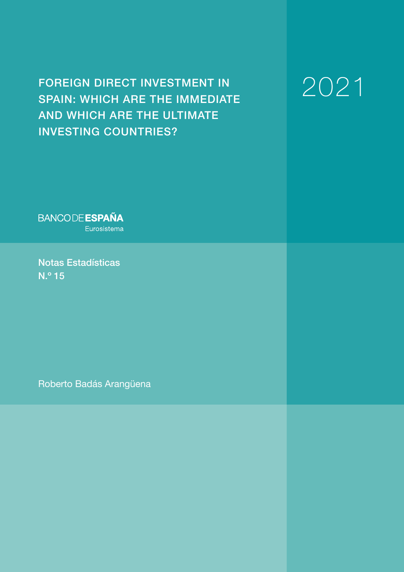## FOREIGN DIRECT INVESTMENT IN SPAIN: WHICH ARE THE IMMEDIATE AND WHICH ARE THE ULTIMATE INVESTING COUNTRIES?

# 2021

**BANCODE ESPAÑA** Eurosistema

Notas Estadísticas N.º 15

Roberto Badás Arangüena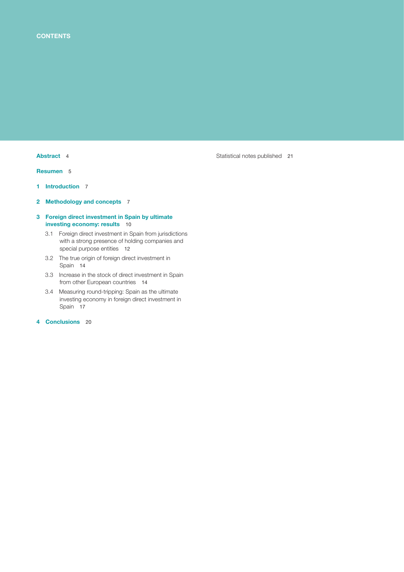[Resumen](#page-4-0) 5

- 1 [Introduction](#page-6-0) 7
- 2 [Methodology and concepts](#page-6-0) 7
- [3 Foreign direct investment in Spain by ultimate](#page-9-0)  [investing economy: results](#page-9-0) 10
	- [3.1 Foreign direct investment in Spain from jurisdictions](#page-11-0) [with a strong presence of holding companies and](#page-11-0)  [special purpose entities](#page-11-0) 12
	- [3.2 The true origin of foreign direct investment in](#page-13-0)  [Spain](#page-13-0) 14
	- [3.3 Increase in the stock of direct investment in Spain](#page-13-0)  [from other European countries](#page-13-0) 14
	- [3.4 Measuring round-tripping: Spain as the ultimate](#page-16-0)  [investing economy in foreign direct investment in](#page-16-0)  [Spain](#page-16-0) 17
- [4 Conclusions](#page-19-0) 20

[Abstract](#page-3-0) 4 [Statistical notes published](#page-20-0) 21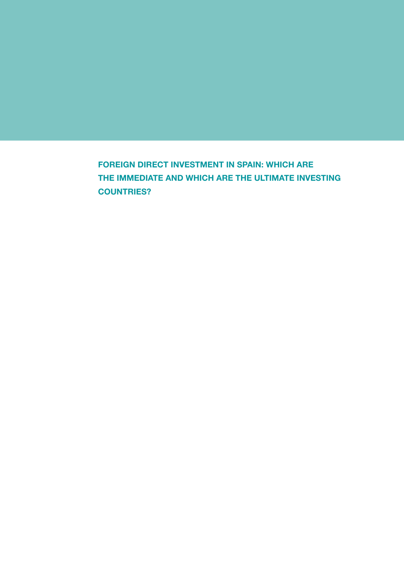FOREIGN DIRECT INVESTMENT IN SPAIN: WHICH ARE THE IMMEDIATE AND WHICH ARE THE ULTIMATE INVESTING COUNTRIES?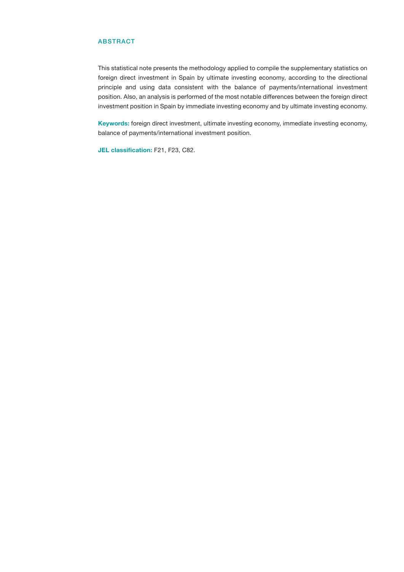#### <span id="page-3-0"></span>ABSTRACT

This statistical note presents the methodology applied to compile the supplementary statistics on foreign direct investment in Spain by ultimate investing economy, according to the directional principle and using data consistent with the balance of payments/international investment position. Also, an analysis is performed of the most notable differences between the foreign direct investment position in Spain by immediate investing economy and by ultimate investing economy.

Keywords: foreign direct investment, ultimate investing economy, immediate investing economy, balance of payments/international investment position.

JEL classification: F21, F23, C82.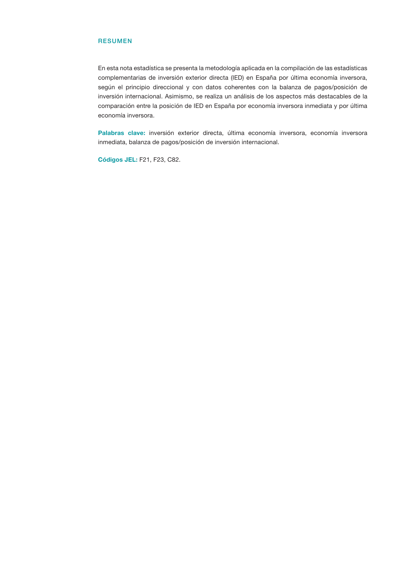#### <span id="page-4-0"></span>RESUMEN

En esta nota estadística se presenta la metodología aplicada en la compilación de las estadísticas complementarias de inversión exterior directa (IED) en España por última economía inversora, según el principio direccional y con datos coherentes con la balanza de pagos/posición de inversión internacional. Asimismo, se realiza un análisis de los aspectos más destacables de la comparación entre la posición de IED en España por economía inversora inmediata y por última economía inversora.

Palabras clave: inversión exterior directa, última economía inversora, economía inversora inmediata, balanza de pagos/posición de inversión internacional.

Códigos JEL: F21, F23, C82.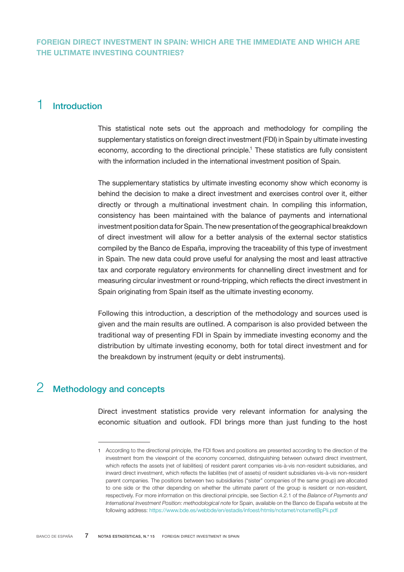## <span id="page-6-0"></span>1 Introduction

This statistical note sets out the approach and methodology for compiling the supplementary statistics on foreign direct investment (FDI) in Spain by ultimate investing economy, according to the directional principle.<sup>1</sup> These statistics are fully consistent with the information included in the international investment position of Spain.

The supplementary statistics by ultimate investing economy show which economy is behind the decision to make a direct investment and exercises control over it, either directly or through a multinational investment chain. In compiling this information, consistency has been maintained with the balance of payments and international investment position data for Spain. The new presentation of the geographical breakdown of direct investment will allow for a better analysis of the external sector statistics compiled by the Banco de España, improving the traceability of this type of investment in Spain. The new data could prove useful for analysing the most and least attractive tax and corporate regulatory environments for channelling direct investment and for measuring circular investment or round-tripping, which reflects the direct investment in Spain originating from Spain itself as the ultimate investing economy.

Following this introduction, a description of the methodology and sources used is given and the main results are outlined. A comparison is also provided between the traditional way of presenting FDI in Spain by immediate investing economy and the distribution by ultimate investing economy, both for total direct investment and for the breakdown by instrument (equity or debt instruments).

## 2 Methodology and concepts

Direct investment statistics provide very relevant information for analysing the economic situation and outlook. FDI brings more than just funding to the host

<sup>1</sup> According to the directional principle, the FDI flows and positions are presented according to the direction of the investment from the viewpoint of the economy concerned, distinguishing between outward direct investment, which reflects the assets (net of liabilities) of resident parent companies vis-à-vis non-resident subsidiaries, and inward direct investment, which reflects the liabilities (net of assets) of resident subsidiaries vis-à-vis non-resident parent companies. The positions between two subsidiaries ("sister" companies of the same group) are allocated to one side or the other depending on whether the ultimate parent of the group is resident or non-resident, respectively. For more information on this directional principle, see Section 4.2.1 of the *Balance of Payments and International Investment Position: methodological note* for Spain, available on the Banco de España website at the following address:<https://www.bde.es/webbde/en/estadis/infoest/htmls/notamet/notametBpPii.pdf>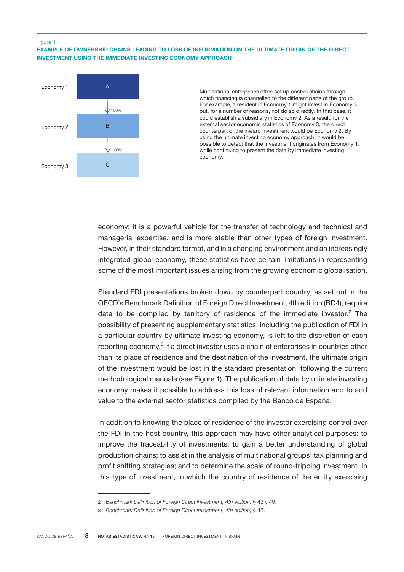#### Figure 1

EXAMPLE OF OWNERSHIP CHAINS LEADING TO LOSS OF INFORMATION ON THE ULTIMATE ORIGIN OF THE DIRECT INVESTMENT USING THE IMMEDIATE INVESTING ECONOMY APPROACH



Multinational enterprises often set up control chains through which financing is channelled to the different parts of the group. For example, a resident in Economy 1 might invest in Economy 3 but, for a number of reasons, not do so directly. In that case, it could establish a subsidiary in Economy 2. As a result, for the external sector economic statistics of Economy 3, the direct counterpart of the inward investment would be Economy 2. By using the ultimate investing economy approach, it would be possible to detect that the investment originates from Economy 1, while continuing to present the data by immediate investing economy.

economy: it is a powerful vehicle for the transfer of technology and technical and managerial expertise, and is more stable than other types of foreign investment. However, in their standard format, and in a changing environment and an increasingly integrated global economy, these statistics have certain limitations in representing some of the most important issues arising from the growing economic globalisation.

Standard FDI presentations broken down by counterpart country, as set out in the OECD's Benchmark Definition of Foreign Direct Investment, 4th edition (BD4), require data to be compiled by territory of residence of the immediate investor.<sup>2</sup> The possibility of presenting supplementary statistics, including the publication of FDI in a particular country by ultimate investing economy, is left to the discretion of each reporting economy.<sup>3</sup> If a direct investor uses a chain of enterprises in countries other than its place of residence and the destination of the investment, the ultimate origin of the investment would be lost in the standard presentation, following the current methodological manuals (see Figure 1). The publication of data by ultimate investing economy makes it possible to address this loss of relevant information and to add value to the external sector statistics compiled by the Banco de España.

In addition to knowing the place of residence of the investor exercising control over the FDI in the host country, this approach may have other analytical purposes: to improve the traceability of investments; to gain a better understanding of global production chains; to assist in the analysis of multinational groups' tax planning and profit shifting strategies; and to determine the scale of round-tripping investment. In this type of investment, in which the country of residence of the entity exercising

<sup>2</sup> *Benchmark Definition of Foreign Direct Investment, 4th edition,* § 43 y 49.

<sup>3</sup> *Benchmark Definition of Foreign Direct Investment, 4th edition,* § 45.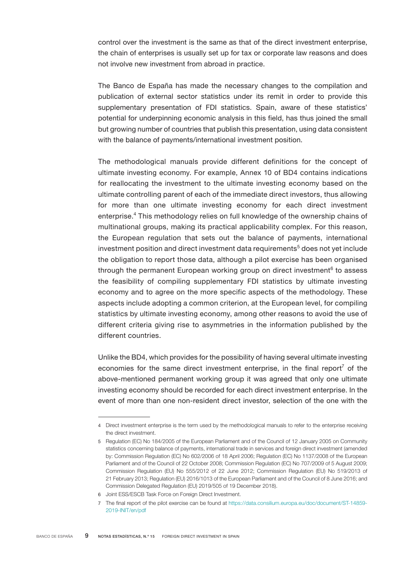control over the investment is the same as that of the direct investment enterprise, the chain of enterprises is usually set up for tax or corporate law reasons and does not involve new investment from abroad in practice.

The Banco de España has made the necessary changes to the compilation and publication of external sector statistics under its remit in order to provide this supplementary presentation of FDI statistics. Spain, aware of these statistics' potential for underpinning economic analysis in this field, has thus joined the small but growing number of countries that publish this presentation, using data consistent with the balance of payments/international investment position.

The methodological manuals provide different definitions for the concept of ultimate investing economy. For example, Annex 10 of BD4 contains indications for reallocating the investment to the ultimate investing economy based on the ultimate controlling parent of each of the immediate direct investors, thus allowing for more than one ultimate investing economy for each direct investment enterprise.<sup>4</sup> This methodology relies on full knowledge of the ownership chains of multinational groups, making its practical applicability complex. For this reason, the European regulation that sets out the balance of payments, international investment position and direct investment data requirements $^5$  does not yet include the obligation to report those data, although a pilot exercise has been organised through the permanent European working group on direct investment<sup>6</sup> to assess the feasibility of compiling supplementary FDI statistics by ultimate investing economy and to agree on the more specific aspects of the methodology. These aspects include adopting a common criterion, at the European level, for compiling statistics by ultimate investing economy, among other reasons to avoid the use of different criteria giving rise to asymmetries in the information published by the different countries.

Unlike the BD4, which provides for the possibility of having several ultimate investing economies for the same direct investment enterprise, in the final report<sup>7</sup> of the above-mentioned permanent working group it was agreed that only one ultimate investing economy should be recorded for each direct investment enterprise. In the event of more than one non-resident direct investor, selection of the one with the

6 Joint ESS/ESCB Task Force on Foreign Direct Investment.

<sup>4</sup> Direct investment enterprise is the term used by the methodological manuals to refer to the enterprise receiving the direct investment.

<sup>5</sup> Regulation (EC) No 184/2005 of the European Parliament and of the Council of 12 January 2005 on Community statistics concerning balance of payments, international trade in services and foreign direct investment (amended by: Commission Regulation (EC) No 602/2006 of 18 April 2006; Regulation (EC) No 1137/2008 of the European Parliament and of the Council of 22 October 2008; Commission Regulation (EC) No 707/2009 of 5 August 2009; Commission Regulation (EU) No 555/2012 of 22 June 2012; Commission Regulation (EU) No 519/2013 of 21 February 2013; Regulation (EU) 2016/1013 of the European Parliament and of the Council of 8 June 2016; and Commission Delegated Regulation (EU) 2019/505 of 19 December 2018).

<sup>7</sup> The final report of the pilot exercise can be found at [https://data.consilium.europa.eu/doc/document/ST-14859-](https://data.consilium.europa.eu/doc/document/ST-14859-2019-INIT/en/pdf) [2019-INIT/en/pdf](https://data.consilium.europa.eu/doc/document/ST-14859-2019-INIT/en/pdf)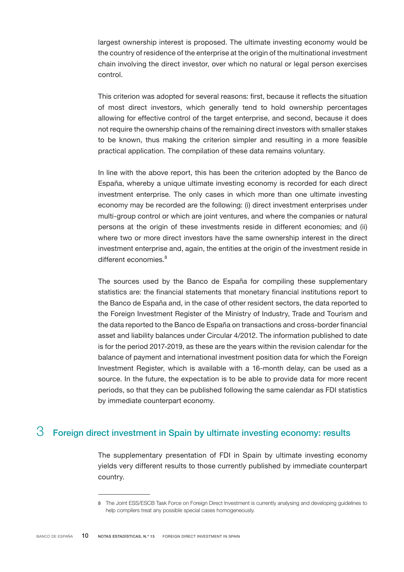<span id="page-9-0"></span>largest ownership interest is proposed. The ultimate investing economy would be the country of residence of the enterprise at the origin of the multinational investment chain involving the direct investor, over which no natural or legal person exercises control.

This criterion was adopted for several reasons: first, because it reflects the situation of most direct investors, which generally tend to hold ownership percentages allowing for effective control of the target enterprise, and second, because it does not require the ownership chains of the remaining direct investors with smaller stakes to be known, thus making the criterion simpler and resulting in a more feasible practical application. The compilation of these data remains voluntary.

In line with the above report, this has been the criterion adopted by the Banco de España, whereby a unique ultimate investing economy is recorded for each direct investment enterprise. The only cases in which more than one ultimate investing economy may be recorded are the following: (i) direct investment enterprises under multi-group control or which are joint ventures, and where the companies or natural persons at the origin of these investments reside in different economies; and (ii) where two or more direct investors have the same ownership interest in the direct investment enterprise and, again, the entities at the origin of the investment reside in different economies.<sup>8</sup>

The sources used by the Banco de España for compiling these supplementary statistics are: the financial statements that monetary financial institutions report to the Banco de España and, in the case of other resident sectors, the data reported to the Foreign Investment Register of the Ministry of Industry, Trade and Tourism and the data reported to the Banco de España on transactions and cross-border financial asset and liability balances under Circular 4/2012. The information published to date is for the period 2017-2019, as these are the years within the revision calendar for the balance of payment and international investment position data for which the Foreign Investment Register, which is available with a 16-month delay, can be used as a source. In the future, the expectation is to be able to provide data for more recent periods, so that they can be published following the same calendar as FDI statistics by immediate counterpart economy.

## $3$  Foreign direct investment in Spain by ultimate investing economy: results

The supplementary presentation of FDI in Spain by ultimate investing economy yields very different results to those currently published by immediate counterpart country.

<sup>8</sup> The Joint ESS/ESCB Task Force on Foreign Direct Investment is currently analysing and developing guidelines to help compilers treat any possible special cases homogeneously.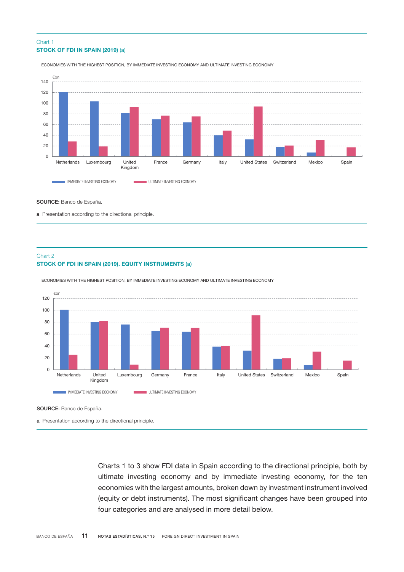#### STOCK OF FDI IN SPAIN (2019) (a) Chart 1



ECONOMIES WITH THE HIGHEST POSITION, BY IMMEDIATE INVESTING ECONOMY AND ULTIMATE INVESTING ECONOMY

#### SOURCE: Banco de España.

a Presentation according to the directional principle.

#### STOCK OF FDI IN SPAIN (2019). EQUITY INSTRUMENTS (a) Chart 2

ECONOMIES WITH THE HIGHEST POSITION, BY IMMEDIATE INVESTING ECONOMY AND ULTIMATE INVESTING ECONOMY



SOURCE: Banco de España.

a Presentation according to the directional principle.

Charts 1 to 3 show FDI data in Spain according to the directional principle, both by ultimate investing economy and by immediate investing economy, for the ten economies with the largest amounts, broken down by investment instrument involved (equity or debt instruments). The most significant changes have been grouped into four categories and are analysed in more detail below.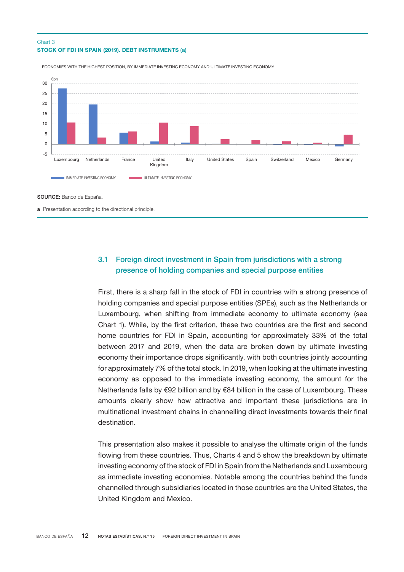#### <span id="page-11-0"></span>STOCK OF FDI IN SPAIN (2019). DEBT INSTRUMENTS (a) Chart 3



ECONOMIES WITH THE HIGHEST POSITION, BY IMMEDIATE INVESTING ECONOMY AND ULTIMATE INVESTING ECONOMY

SOURCE: Banco de España.

a Presentation according to the directional principle.

### 3.1 Foreign direct investment in Spain from jurisdictions with a strong presence of holding companies and special purpose entities

First, there is a sharp fall in the stock of FDI in countries with a strong presence of holding companies and special purpose entities (SPEs), such as the Netherlands or Luxembourg, when shifting from immediate economy to ultimate economy (see Chart 1). While, by the first criterion, these two countries are the first and second home countries for FDI in Spain, accounting for approximately 33% of the total between 2017 and 2019, when the data are broken down by ultimate investing economy their importance drops significantly, with both countries jointly accounting for approximately 7% of the total stock. In 2019, when looking at the ultimate investing economy as opposed to the immediate investing economy, the amount for the Netherlands falls by €92 billion and by €84 billion in the case of Luxembourg. These amounts clearly show how attractive and important these jurisdictions are in multinational investment chains in channelling direct investments towards their final destination.

This presentation also makes it possible to analyse the ultimate origin of the funds flowing from these countries. Thus, Charts 4 and 5 show the breakdown by ultimate investing economy of the stock of FDI in Spain from the Netherlands and Luxembourg as immediate investing economies. Notable among the countries behind the funds channelled through subsidiaries located in those countries are the United States, the United Kingdom and Mexico.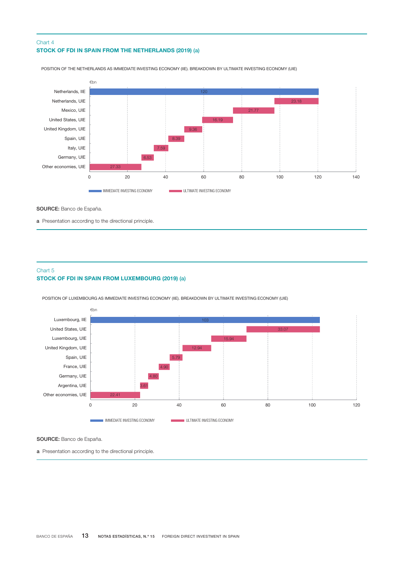#### STOCK OF FDI IN SPAIN FROM THE NETHERLANDS (2019) (a) Chart 4



POSITION OF THE NETHERLANDS AS IMMEDIATE INVESTING ECONOMY (IIE). BREAKDOWN BY ULTIMATE INVESTING ECONOMY (UIE)

SOURCE: Banco de España.

a Presentation according to the directional principle.

#### STOCK OF FDI IN SPAIN FROM LUXEMBOURG (2019) (a) Chart 5

POSITION OF LUXEMBOURG AS IMMEDIATE INVESTING ECONOMY (IIE). BREAKDOWN BY ULTIMATE INVESTING ECONOMY (UIE)



SOURCE: Banco de España.

a Presentation according to the directional principle.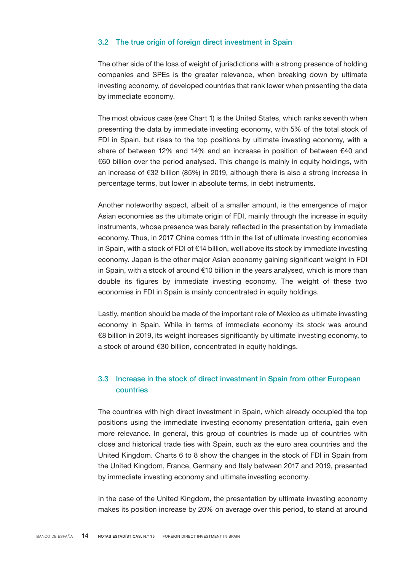#### <span id="page-13-0"></span>3.2 The true origin of foreign direct investment in Spain

The other side of the loss of weight of jurisdictions with a strong presence of holding companies and SPEs is the greater relevance, when breaking down by ultimate investing economy, of developed countries that rank lower when presenting the data by immediate economy.

The most obvious case (see Chart 1) is the United States, which ranks seventh when presenting the data by immediate investing economy, with 5% of the total stock of FDI in Spain, but rises to the top positions by ultimate investing economy, with a share of between 12% and 14% and an increase in position of between €40 and €60 billion over the period analysed. This change is mainly in equity holdings, with an increase of €32 billion (85%) in 2019, although there is also a strong increase in percentage terms, but lower in absolute terms, in debt instruments.

Another noteworthy aspect, albeit of a smaller amount, is the emergence of major Asian economies as the ultimate origin of FDI, mainly through the increase in equity instruments, whose presence was barely reflected in the presentation by immediate economy. Thus, in 2017 China comes 11th in the list of ultimate investing economies in Spain, with a stock of FDI of €14 billion, well above its stock by immediate investing economy. Japan is the other major Asian economy gaining significant weight in FDI in Spain, with a stock of around  $€10$  billion in the years analysed, which is more than double its figures by immediate investing economy. The weight of these two economies in FDI in Spain is mainly concentrated in equity holdings.

Lastly, mention should be made of the important role of Mexico as ultimate investing economy in Spain. While in terms of immediate economy its stock was around €8 billion in 2019, its weight increases significantly by ultimate investing economy, to a stock of around €30 billion, concentrated in equity holdings.

#### 3.3 Increase in the stock of direct investment in Spain from other European countries

The countries with high direct investment in Spain, which already occupied the top positions using the immediate investing economy presentation criteria, gain even more relevance. In general, this group of countries is made up of countries with close and historical trade ties with Spain, such as the euro area countries and the United Kingdom. Charts 6 to 8 show the changes in the stock of FDI in Spain from the United Kingdom, France, Germany and Italy between 2017 and 2019, presented by immediate investing economy and ultimate investing economy.

In the case of the United Kingdom, the presentation by ultimate investing economy makes its position increase by 20% on average over this period, to stand at around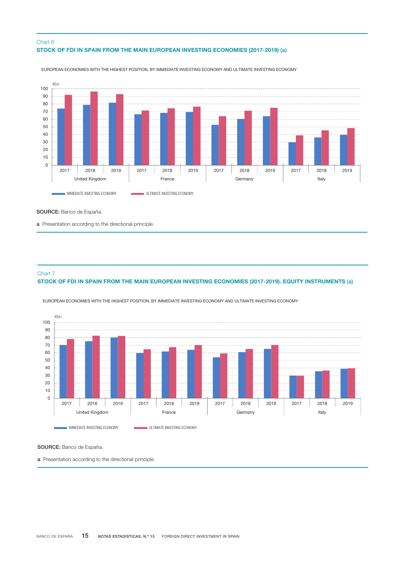#### STOCK OF FDI IN SPAIN FROM THE MAIN EUROPEAN INVESTING ECONOMIES (2017-2019) (a) Chart 6



EUROPEAN ECONOMIES WITH THE HIGHEST POSITION, BY IMMEDIATE INVESTING ECONOMY AND ULTIMATE INVESTING ECONOMY

SOURCE: Banco de España.

a Presentation according to the directional principle.

#### Chart 7

#### STOCK OF FDI IN SPAIN FROM THE MAIN EUROPEAN INVESTING ECONOMIES (2017-2019). EQUITY INSTRUMENTS (a)



EUROPEAN ECONOMIES WITH THE HIGHEST POSITION, BY IMMEDIATE INVESTING ECONOMY AND ULTIMATE INVESTING ECONOMY

SOURCE: Banco de España.

a Presentation according to the directional principle.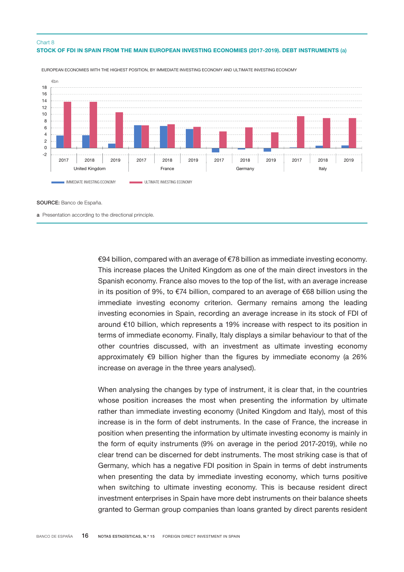#### STOCK OF FDI IN SPAIN FROM THE MAIN EUROPEAN INVESTING ECONOMIES (2017-2019). DEBT INSTRUMENTS (a) Chart 8



EUROPEAN ECONOMIES WITH THE HIGHEST POSITION, BY IMMEDIATE INVESTING ECONOMY AND ULTIMATE INVESTING ECONOMY

SOURCE: Banco de España.

a Presentation according to the directional principle.

€94 billion, compared with an average of €78 billion as immediate investing economy. This increase places the United Kingdom as one of the main direct investors in the Spanish economy. France also moves to the top of the list, with an average increase in its position of 9%, to €74 billion, compared to an average of €68 billion using the immediate investing economy criterion. Germany remains among the leading investing economies in Spain, recording an average increase in its stock of FDI of around €10 billion, which represents a 19% increase with respect to its position in terms of immediate economy. Finally, Italy displays a similar behaviour to that of the other countries discussed, with an investment as ultimate investing economy approximately  $\epsilon$ 9 billion higher than the figures by immediate economy (a 26% increase on average in the three years analysed).

When analysing the changes by type of instrument, it is clear that, in the countries whose position increases the most when presenting the information by ultimate rather than immediate investing economy (United Kingdom and Italy), most of this increase is in the form of debt instruments. In the case of France, the increase in position when presenting the information by ultimate investing economy is mainly in the form of equity instruments (9% on average in the period 2017-2019), while no clear trend can be discerned for debt instruments. The most striking case is that of Germany, which has a negative FDI position in Spain in terms of debt instruments when presenting the data by immediate investing economy, which turns positive when switching to ultimate investing economy. This is because resident direct investment enterprises in Spain have more debt instruments on their balance sheets granted to German group companies than loans granted by direct parents resident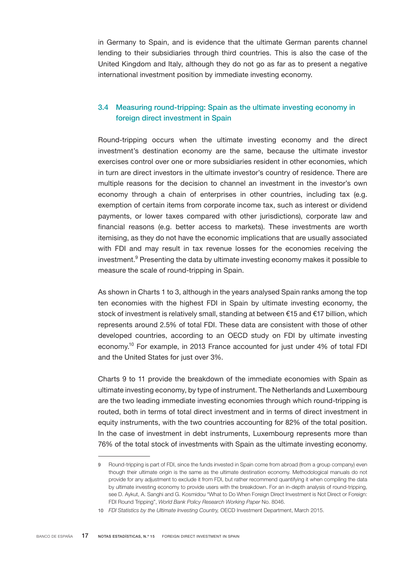<span id="page-16-0"></span>in Germany to Spain, and is evidence that the ultimate German parents channel lending to their subsidiaries through third countries. This is also the case of the United Kingdom and Italy, although they do not go as far as to present a negative international investment position by immediate investing economy.

#### 3.4 Measuring round-tripping: Spain as the ultimate investing economy in foreign direct investment in Spain

Round-tripping occurs when the ultimate investing economy and the direct investment's destination economy are the same, because the ultimate investor exercises control over one or more subsidiaries resident in other economies, which in turn are direct investors in the ultimate investor's country of residence. There are multiple reasons for the decision to channel an investment in the investor's own economy through a chain of enterprises in other countries, including tax (e.g. exemption of certain items from corporate income tax, such as interest or dividend payments, or lower taxes compared with other jurisdictions), corporate law and financial reasons (e.g. better access to markets). These investments are worth itemising, as they do not have the economic implications that are usually associated with FDI and may result in tax revenue losses for the economies receiving the investment.<sup>9</sup> Presenting the data by ultimate investing economy makes it possible to measure the scale of round-tripping in Spain.

As shown in Charts 1 to 3, although in the years analysed Spain ranks among the top ten economies with the highest FDI in Spain by ultimate investing economy, the stock of investment is relatively small, standing at between €15 and €17 billion, which represents around 2.5% of total FDI. These data are consistent with those of other developed countries, according to an OECD study on FDI by ultimate investing economy.10 For example, in 2013 France accounted for just under 4% of total FDI and the United States for just over 3%.

Charts 9 to 11 provide the breakdown of the immediate economies with Spain as ultimate investing economy, by type of instrument. The Netherlands and Luxembourg are the two leading immediate investing economies through which round-tripping is routed, both in terms of total direct investment and in terms of direct investment in equity instruments, with the two countries accounting for 82% of the total position. In the case of investment in debt instruments, Luxembourg represents more than 76% of the total stock of investments with Spain as the ultimate investing economy.

<sup>9</sup> Round-tripping is part of FDI, since the funds invested in Spain come from abroad (from a group company) even though their ultimate origin is the same as the ultimate destination economy. Methodological manuals do not provide for any adjustment to exclude it from FDI, but rather recommend quantifying it when compiling the data by ultimate investing economy to provide users with the breakdown. For an in-depth analysis of round-tripping, see D. Aykut, A. Sanghi and G. Kosmidou "What to Do When Foreign Direct Investment is Not Direct or Foreign: FDI Round Tripping", *World Bank Policy Research Working Paper* No. 8046.

<sup>10</sup> *FDI Statistics by the Ultimate Investing Country,* OECD Investment Department, March 2015.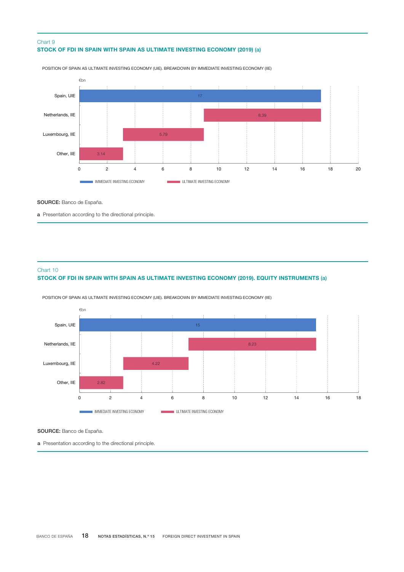#### STOCK OF FDI IN SPAIN WITH SPAIN AS ULTIMATE INVESTING ECONOMY (2019) (a) Chart 9



POSITION OF SPAIN AS ULTIMATE INVESTING ECONOMY (UIE). BREAKDOWN BY IMMEDIATE INVESTING ECONOMY (IIE)

SOURCE: Banco de España.

a Presentation according to the directional principle.

#### Chart 10

#### STOCK OF FDI IN SPAIN WITH SPAIN AS ULTIMATE INVESTING ECONOMY (2019). EQUITY INSTRUMENTS (a)



POSITION OF SPAIN AS ULTIMATE INVESTING ECONOMY (UIE). BREAKDOWN BY IMMEDIATE INVESTING ECONOMY (IIE)

SOURCE: Banco de España.

a Presentation according to the directional principle.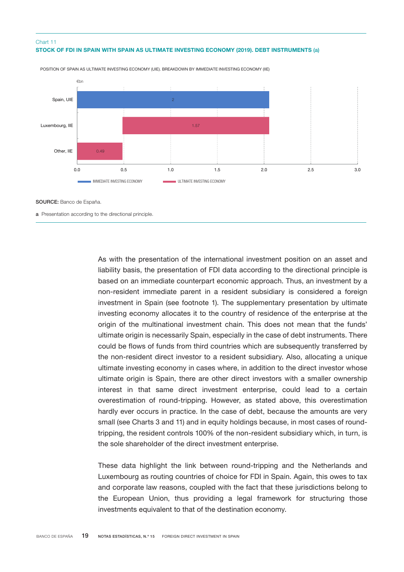#### STOCK OF FDI IN SPAIN WITH SPAIN AS ULTIMATE INVESTING ECONOMY (2019). DEBT INSTRUMENTS (a) Chart 11



POSITION OF SPAIN AS ULTIMATE INVESTING ECONOMY (UIE). BREAKDOWN BY IMMEDIATE INVESTING ECONOMY (IIE)

SOURCE: Banco de España.

a Presentation according to the directional principle.

As with the presentation of the international investment position on an asset and liability basis, the presentation of FDI data according to the directional principle is based on an immediate counterpart economic approach. Thus, an investment by a non-resident immediate parent in a resident subsidiary is considered a foreign investment in Spain (see footnote 1). The supplementary presentation by ultimate investing economy allocates it to the country of residence of the enterprise at the origin of the multinational investment chain. This does not mean that the funds' ultimate origin is necessarily Spain, especially in the case of debt instruments. There could be flows of funds from third countries which are subsequently transferred by the non-resident direct investor to a resident subsidiary. Also, allocating a unique ultimate investing economy in cases where, in addition to the direct investor whose ultimate origin is Spain, there are other direct investors with a smaller ownership interest in that same direct investment enterprise, could lead to a certain overestimation of round-tripping. However, as stated above, this overestimation hardly ever occurs in practice. In the case of debt, because the amounts are very small (see Charts 3 and 11) and in equity holdings because, in most cases of roundtripping, the resident controls 100% of the non-resident subsidiary which, in turn, is the sole shareholder of the direct investment enterprise.

These data highlight the link between round-tripping and the Netherlands and Luxembourg as routing countries of choice for FDI in Spain. Again, this owes to tax and corporate law reasons, coupled with the fact that these jurisdictions belong to the European Union, thus providing a legal framework for structuring those investments equivalent to that of the destination economy.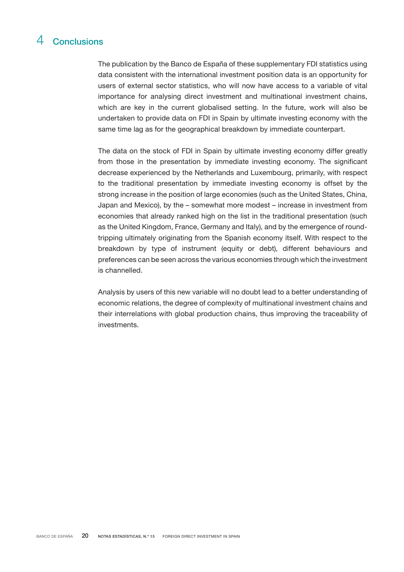## <span id="page-19-0"></span>4 Conclusions

The publication by the Banco de España of these supplementary FDI statistics using data consistent with the international investment position data is an opportunity for users of external sector statistics, who will now have access to a variable of vital importance for analysing direct investment and multinational investment chains, which are key in the current globalised setting. In the future, work will also be undertaken to provide data on FDI in Spain by ultimate investing economy with the same time lag as for the geographical breakdown by immediate counterpart.

The data on the stock of FDI in Spain by ultimate investing economy differ greatly from those in the presentation by immediate investing economy. The significant decrease experienced by the Netherlands and Luxembourg, primarily, with respect to the traditional presentation by immediate investing economy is offset by the strong increase in the position of large economies (such as the United States, China, Japan and Mexico), by the – somewhat more modest – increase in investment from economies that already ranked high on the list in the traditional presentation (such as the United Kingdom, France, Germany and Italy), and by the emergence of roundtripping ultimately originating from the Spanish economy itself. With respect to the breakdown by type of instrument (equity or debt), different behaviours and preferences can be seen across the various economies through which the investment is channelled.

Analysis by users of this new variable will no doubt lead to a better understanding of economic relations, the degree of complexity of multinational investment chains and their interrelations with global production chains, thus improving the traceability of investments.